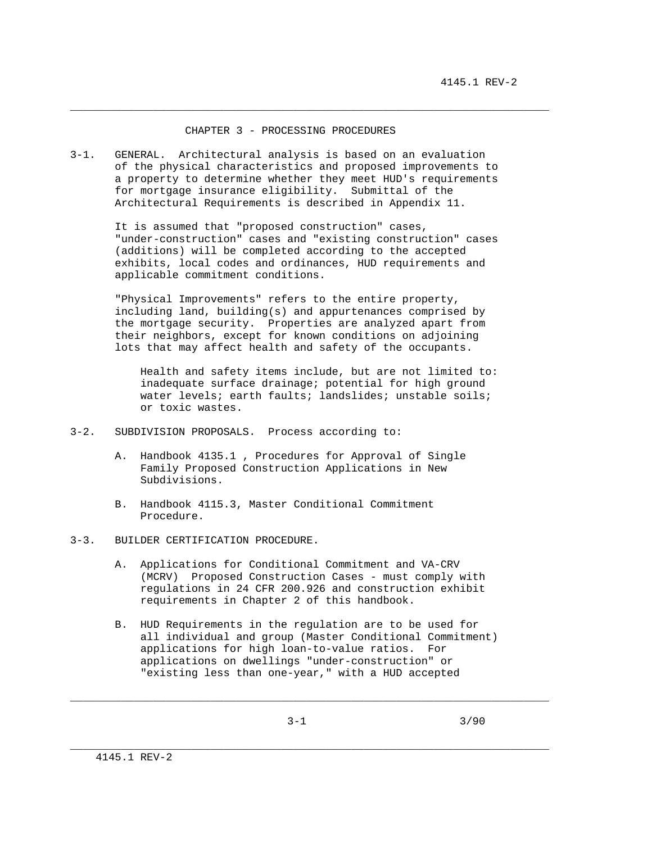#### CHAPTER 3 - PROCESSING PROCEDURES

\_\_\_\_\_\_\_\_\_\_\_\_\_\_\_\_\_\_\_\_\_\_\_\_\_\_\_\_\_\_\_\_\_\_\_\_\_\_\_\_\_\_\_\_\_\_\_\_\_\_\_\_\_\_\_\_\_\_\_\_\_\_\_\_\_\_\_\_\_\_\_\_\_\_\_

3-1. GENERAL. Architectural analysis is based on an evaluation of the physical characteristics and proposed improvements to a property to determine whether they meet HUD's requirements for mortgage insurance eligibility. Submittal of the Architectural Requirements is described in Appendix 11.

> It is assumed that "proposed construction" cases, "under-construction" cases and "existing construction" cases (additions) will be completed according to the accepted exhibits, local codes and ordinances, HUD requirements and applicable commitment conditions.

 "Physical Improvements" refers to the entire property, including land, building(s) and appurtenances comprised by the mortgage security. Properties are analyzed apart from their neighbors, except for known conditions on adjoining lots that may affect health and safety of the occupants.

 Health and safety items include, but are not limited to: inadequate surface drainage; potential for high ground water levels; earth faults; landslides; unstable soils; or toxic wastes.

- 3-2. SUBDIVISION PROPOSALS. Process according to:
	- A. Handbook 4135.1 , Procedures for Approval of Single Family Proposed Construction Applications in New Subdivisions.
	- B. Handbook 4115.3, Master Conditional Commitment Procedure.
- 3-3. BUILDER CERTIFICATION PROCEDURE.
	- A. Applications for Conditional Commitment and VA-CRV (MCRV) Proposed Construction Cases - must comply with regulations in 24 CFR 200.926 and construction exhibit requirements in Chapter 2 of this handbook.
	- B. HUD Requirements in the regulation are to be used for all individual and group (Master Conditional Commitment) applications for high loan-to-value ratios. For applications on dwellings "under-construction" or "existing less than one-year," with a HUD accepted

\_\_\_\_\_\_\_\_\_\_\_\_\_\_\_\_\_\_\_\_\_\_\_\_\_\_\_\_\_\_\_\_\_\_\_\_\_\_\_\_\_\_\_\_\_\_\_\_\_\_\_\_\_\_\_\_\_\_\_\_\_\_\_\_\_\_\_\_\_\_\_\_\_\_\_

\_\_\_\_\_\_\_\_\_\_\_\_\_\_\_\_\_\_\_\_\_\_\_\_\_\_\_\_\_\_\_\_\_\_\_\_\_\_\_\_\_\_\_\_\_\_\_\_\_\_\_\_\_\_\_\_\_\_\_\_\_\_\_\_\_\_\_\_\_\_\_\_\_\_\_

 $3-1$   $3/90$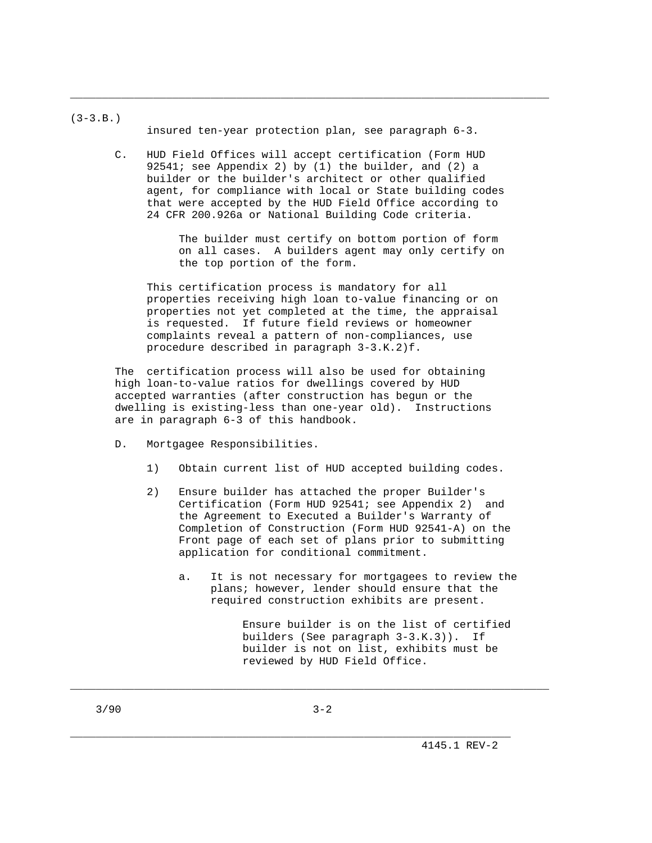$(3-3.B.)$ 

insured ten-year protection plan, see paragraph 6-3.

\_\_\_\_\_\_\_\_\_\_\_\_\_\_\_\_\_\_\_\_\_\_\_\_\_\_\_\_\_\_\_\_\_\_\_\_\_\_\_\_\_\_\_\_\_\_\_\_\_\_\_\_\_\_\_\_\_\_\_\_\_\_\_\_\_\_\_\_\_\_\_\_\_\_\_

 C. HUD Field Offices will accept certification (Form HUD 92541; see Appendix 2) by (1) the builder, and (2) a builder or the builder's architect or other qualified agent, for compliance with local or State building codes that were accepted by the HUD Field Office according to 24 CFR 200.926a or National Building Code criteria.

> The builder must certify on bottom portion of form on all cases. A builders agent may only certify on the top portion of the form.

 This certification process is mandatory for all properties receiving high loan to-value financing or on properties not yet completed at the time, the appraisal is requested. If future field reviews or homeowner complaints reveal a pattern of non-compliances, use procedure described in paragraph 3-3.K.2)f.

 The certification process will also be used for obtaining high loan-to-value ratios for dwellings covered by HUD accepted warranties (after construction has begun or the dwelling is existing-less than one-year old). Instructions are in paragraph 6-3 of this handbook.

- D. Mortgagee Responsibilities.
	- 1) Obtain current list of HUD accepted building codes.
	- 2) Ensure builder has attached the proper Builder's Certification (Form HUD 92541; see Appendix 2) and the Agreement to Executed a Builder's Warranty of Completion of Construction (Form HUD 92541-A) on the Front page of each set of plans prior to submitting application for conditional commitment.
		- a. It is not necessary for mortgagees to review the plans; however, lender should ensure that the required construction exhibits are present.

 Ensure builder is on the list of certified builders (See paragraph 3-3.K.3)). If builder is not on list, exhibits must be reviewed by HUD Field Office.

\_\_\_\_\_\_\_\_\_\_\_\_\_\_\_\_\_\_\_\_\_\_\_\_\_\_\_\_\_\_\_\_\_\_\_\_\_\_\_\_\_\_\_\_\_\_\_\_\_\_\_\_\_\_\_\_\_\_\_\_\_\_\_\_\_\_\_\_\_\_\_\_\_\_\_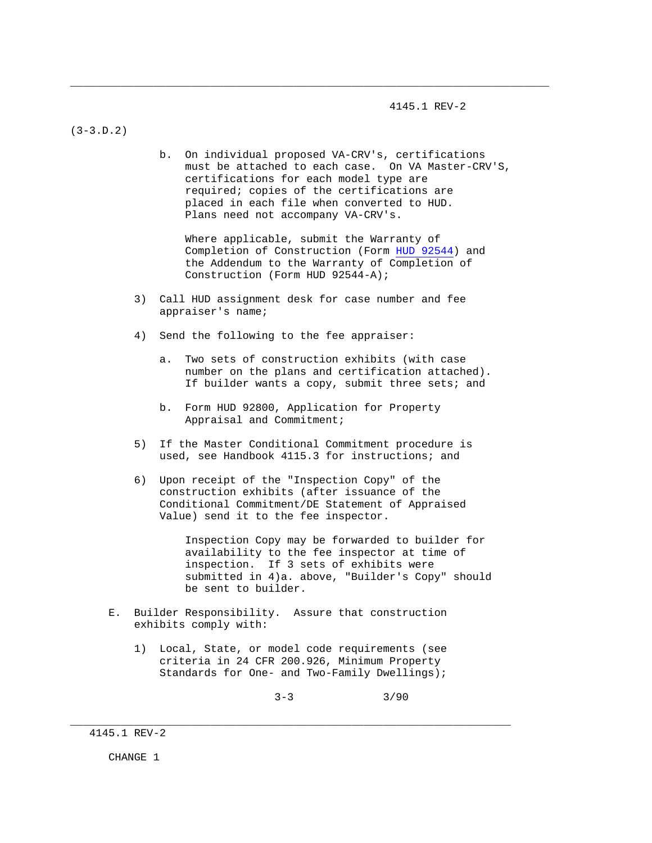4145.1 REV-2

(3-3.D.2)

 b. On individual proposed VA-CRV's, certifications must be attached to each case. On VA Master-CRV'S, certifications for each model type are required; copies of the certifications are placed in each file when converted to HUD. Plans need not accompany VA-CRV's.

\_\_\_\_\_\_\_\_\_\_\_\_\_\_\_\_\_\_\_\_\_\_\_\_\_\_\_\_\_\_\_\_\_\_\_\_\_\_\_\_\_\_\_\_\_\_\_\_\_\_\_\_\_\_\_\_\_\_\_\_\_\_\_\_\_\_\_\_\_\_\_\_\_\_\_

 Where applicable, submit the Warranty of Completion of Construction (Form HUD 92544) and the Addendum to the Warranty of Completion of Construction (Form HUD 92544-A);

- 3) Call HUD assignment desk for case number and fee appraiser's name;
- 4) Send the following to the fee appraiser:
	- a. Two sets of construction exhibits (with case number on the plans and certification attached). If builder wants a copy, submit three sets; and
	- b. Form HUD 92800, Application for Property Appraisal and Commitment;
- 5) If the Master Conditional Commitment procedure is used, see Handbook 4115.3 for instructions; and
- 6) Upon receipt of the "Inspection Copy" of the construction exhibits (after issuance of the Conditional Commitment/DE Statement of Appraised Value) send it to the fee inspector.

 Inspection Copy may be forwarded to builder for availability to the fee inspector at time of inspection. If 3 sets of exhibits were submitted in 4)a. above, "Builder's Copy" should be sent to builder.

- E. Builder Responsibility. Assure that construction exhibits comply with:
	- 1) Local, State, or model code requirements (see criteria in 24 CFR 200.926, Minimum Property Standards for One- and Two-Family Dwellings);

\_\_\_\_\_\_\_\_\_\_\_\_\_\_\_\_\_\_\_\_\_\_\_\_\_\_\_\_\_\_\_\_\_\_\_\_\_\_\_\_\_\_\_\_\_\_\_\_\_\_\_\_\_\_\_\_\_\_\_\_\_\_\_\_\_\_\_\_\_

 $3-3$   $3/90$ 

CHANGE 1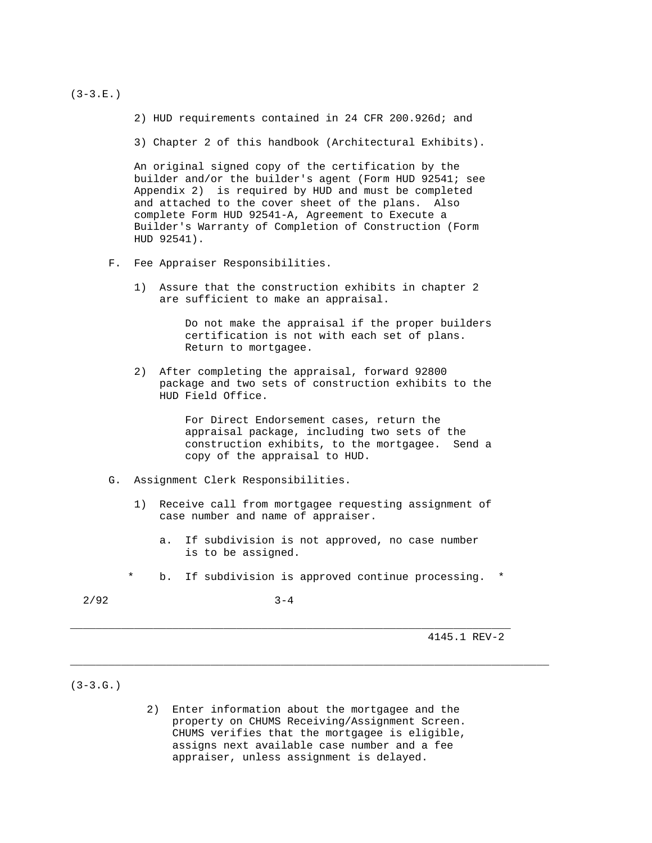$(3-3.E.)$ 

2) HUD requirements contained in 24 CFR 200.926d; and

3) Chapter 2 of this handbook (Architectural Exhibits).

 An original signed copy of the certification by the builder and/or the builder's agent (Form HUD 92541; see Appendix 2) is required by HUD and must be completed and attached to the cover sheet of the plans. Also complete Form HUD 92541-A, Agreement to Execute a Builder's Warranty of Completion of Construction (Form HUD 92541).

- F. Fee Appraiser Responsibilities.
	- 1) Assure that the construction exhibits in chapter 2 are sufficient to make an appraisal.

 Do not make the appraisal if the proper builders certification is not with each set of plans. Return to mortgagee.

 2) After completing the appraisal, forward 92800 package and two sets of construction exhibits to the HUD Field Office.

> For Direct Endorsement cases, return the appraisal package, including two sets of the construction exhibits, to the mortgagee. Send a copy of the appraisal to HUD.

- G. Assignment Clerk Responsibilities.
	- 1) Receive call from mortgagee requesting assignment of case number and name of appraiser.
		- a. If subdivision is not approved, no case number is to be assigned.
	- \* b. If subdivision is approved continue processing. \*

\_\_\_\_\_\_\_\_\_\_\_\_\_\_\_\_\_\_\_\_\_\_\_\_\_\_\_\_\_\_\_\_\_\_\_\_\_\_\_\_\_\_\_\_\_\_\_\_\_\_\_\_\_\_\_\_\_\_\_\_\_\_\_\_\_\_\_\_\_\_\_\_\_\_\_

 $2/92$  3-4

\_\_\_\_\_\_\_\_\_\_\_\_\_\_\_\_\_\_\_\_\_\_\_\_\_\_\_\_\_\_\_\_\_\_\_\_\_\_\_\_\_\_\_\_\_\_\_\_\_\_\_\_\_\_\_\_\_\_\_\_\_\_\_\_\_\_\_\_\_

4145.1 REV-2

 $(3-3.G.)$ 

 2) Enter information about the mortgagee and the property on CHUMS Receiving/Assignment Screen. CHUMS verifies that the mortgagee is eligible, assigns next available case number and a fee appraiser, unless assignment is delayed.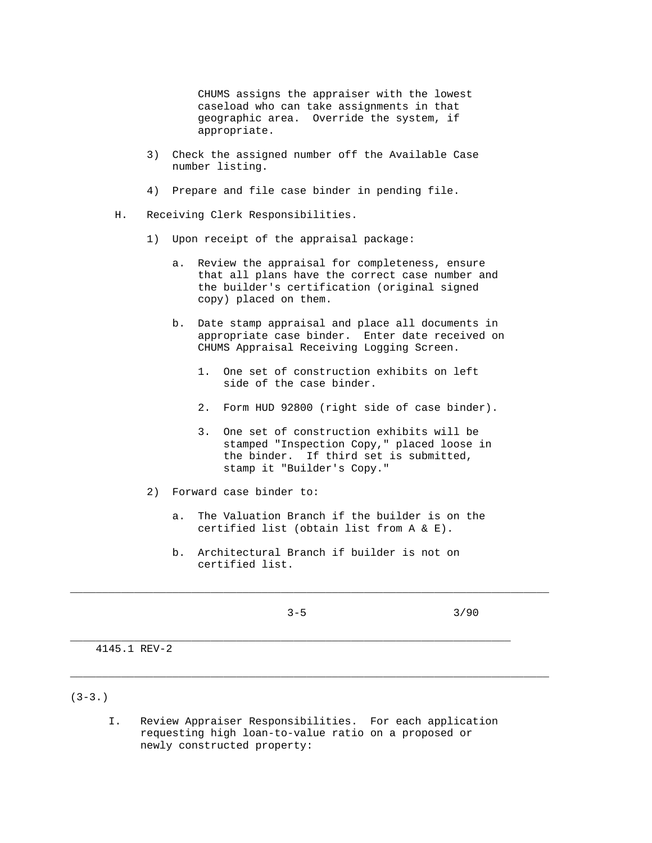CHUMS assigns the appraiser with the lowest caseload who can take assignments in that geographic area. Override the system, if appropriate.

- 3) Check the assigned number off the Available Case number listing.
- 4) Prepare and file case binder in pending file.
- H. Receiving Clerk Responsibilities.
	- 1) Upon receipt of the appraisal package:
		- a. Review the appraisal for completeness, ensure that all plans have the correct case number and the builder's certification (original signed copy) placed on them.
		- b. Date stamp appraisal and place all documents in appropriate case binder. Enter date received on CHUMS Appraisal Receiving Logging Screen.
			- 1. One set of construction exhibits on left side of the case binder.
			- 2. Form HUD 92800 (right side of case binder).
			- 3. One set of construction exhibits will be stamped "Inspection Copy," placed loose in the binder. If third set is submitted, stamp it "Builder's Copy."
	- 2) Forward case binder to:
		- a. The Valuation Branch if the builder is on the certified list (obtain list from A & E).
		- b. Architectural Branch if builder is not on certified list.

\_\_\_\_\_\_\_\_\_\_\_\_\_\_\_\_\_\_\_\_\_\_\_\_\_\_\_\_\_\_\_\_\_\_\_\_\_\_\_\_\_\_\_\_\_\_\_\_\_\_\_\_\_\_\_\_\_\_\_\_\_\_\_\_\_\_\_\_\_\_\_\_\_\_\_

\_\_\_\_\_\_\_\_\_\_\_\_\_\_\_\_\_\_\_\_\_\_\_\_\_\_\_\_\_\_\_\_\_\_\_\_\_\_\_\_\_\_\_\_\_\_\_\_\_\_\_\_\_\_\_\_\_\_\_\_\_\_\_\_\_\_\_\_\_\_\_\_\_\_\_

\_\_\_\_\_\_\_\_\_\_\_\_\_\_\_\_\_\_\_\_\_\_\_\_\_\_\_\_\_\_\_\_\_\_\_\_\_\_\_\_\_\_\_\_\_\_\_\_\_\_\_\_\_\_\_\_\_\_\_\_\_\_\_\_\_\_\_\_\_

 $3-5$   $3/90$ 

4145.1 REV-2

- (3-3.)
	- I. Review Appraiser Responsibilities. For each application requesting high loan-to-value ratio on a proposed or newly constructed property: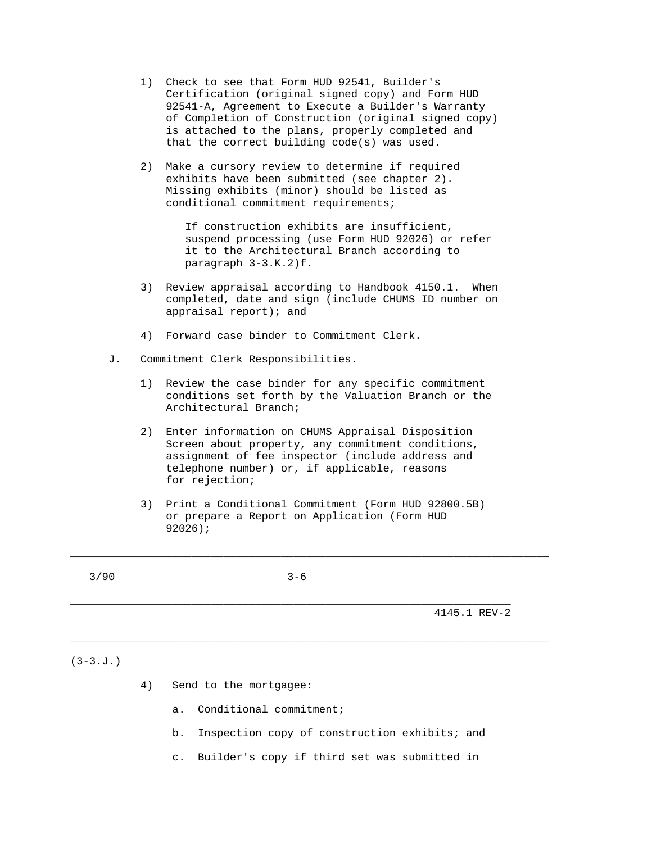- 1) Check to see that Form HUD 92541, Builder's Certification (original signed copy) and Form HUD 92541-A, Agreement to Execute a Builder's Warranty of Completion of Construction (original signed copy) is attached to the plans, properly completed and that the correct building code(s) was used.
- 2) Make a cursory review to determine if required exhibits have been submitted (see chapter 2). Missing exhibits (minor) should be listed as conditional commitment requirements;

 If construction exhibits are insufficient, suspend processing (use Form HUD 92026) or refer it to the Architectural Branch according to paragraph 3-3.K.2)f.

- 3) Review appraisal according to Handbook 4150.1. When completed, date and sign (include CHUMS ID number on appraisal report); and
- 4) Forward case binder to Commitment Clerk.
- J. Commitment Clerk Responsibilities.
	- 1) Review the case binder for any specific commitment conditions set forth by the Valuation Branch or the Architectural Branch;
	- 2) Enter information on CHUMS Appraisal Disposition Screen about property, any commitment conditions, assignment of fee inspector (include address and telephone number) or, if applicable, reasons for rejection;
	- 3) Print a Conditional Commitment (Form HUD 92800.5B) or prepare a Report on Application (Form HUD 92026);

\_\_\_\_\_\_\_\_\_\_\_\_\_\_\_\_\_\_\_\_\_\_\_\_\_\_\_\_\_\_\_\_\_\_\_\_\_\_\_\_\_\_\_\_\_\_\_\_\_\_\_\_\_\_\_\_\_\_\_\_\_\_\_\_\_\_\_\_\_\_\_\_\_\_\_

\_\_\_\_\_\_\_\_\_\_\_\_\_\_\_\_\_\_\_\_\_\_\_\_\_\_\_\_\_\_\_\_\_\_\_\_\_\_\_\_\_\_\_\_\_\_\_\_\_\_\_\_\_\_\_\_\_\_\_\_\_\_\_\_\_\_\_\_\_\_\_\_\_\_\_

 $3/90$   $3-6$ 

\_\_\_\_\_\_\_\_\_\_\_\_\_\_\_\_\_\_\_\_\_\_\_\_\_\_\_\_\_\_\_\_\_\_\_\_\_\_\_\_\_\_\_\_\_\_\_\_\_\_\_\_\_\_\_\_\_\_\_\_\_\_\_\_\_\_\_\_\_

4145.1 REV-2

# $(3-3J.)$

- 4) Send to the mortgagee:
	- a. Conditional commitment;
	- b. Inspection copy of construction exhibits; and
	- c. Builder's copy if third set was submitted in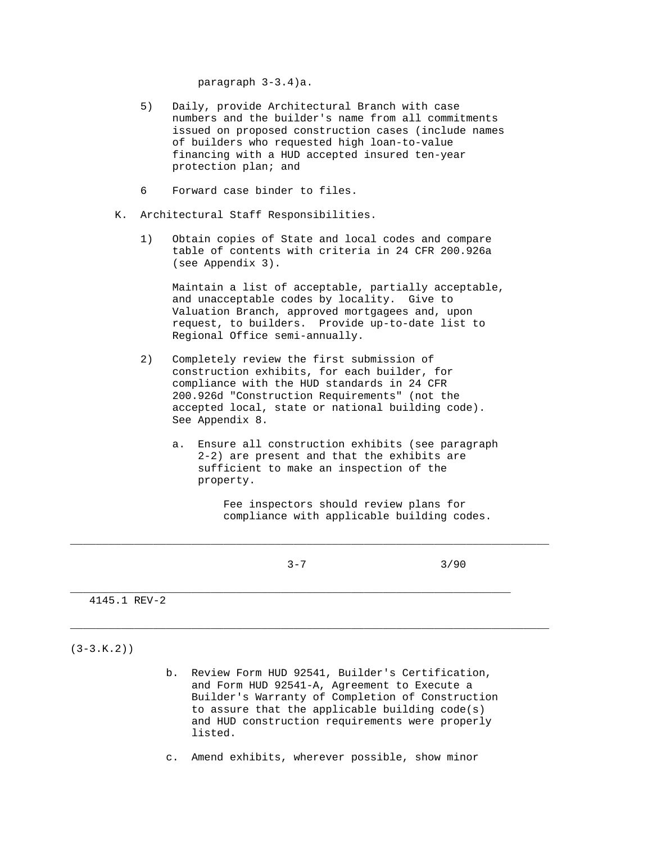paragraph 3-3.4)a.

- 5) Daily, provide Architectural Branch with case numbers and the builder's name from all commitments issued on proposed construction cases (include names of builders who requested high loan-to-value financing with a HUD accepted insured ten-year protection plan; and
- 6 Forward case binder to files.
- K. Architectural Staff Responsibilities.
	- 1) Obtain copies of State and local codes and compare table of contents with criteria in 24 CFR 200.926a (see Appendix 3).

 Maintain a list of acceptable, partially acceptable, and unacceptable codes by locality. Give to Valuation Branch, approved mortgagees and, upon request, to builders. Provide up-to-date list to Regional Office semi-annually.

- 2) Completely review the first submission of construction exhibits, for each builder, for compliance with the HUD standards in 24 CFR 200.926d "Construction Requirements" (not the accepted local, state or national building code). See Appendix 8.
	- a. Ensure all construction exhibits (see paragraph 2-2) are present and that the exhibits are sufficient to make an inspection of the property.

 Fee inspectors should review plans for compliance with applicable building codes.

 $3-7$  3/90 \_\_\_\_\_\_\_\_\_\_\_\_\_\_\_\_\_\_\_\_\_\_\_\_\_\_\_\_\_\_\_\_\_\_\_\_\_\_\_\_\_\_\_\_\_\_\_\_\_\_\_\_\_\_\_\_\_\_\_\_\_\_\_\_\_\_\_\_\_ 4145.1 REV-2

\_\_\_\_\_\_\_\_\_\_\_\_\_\_\_\_\_\_\_\_\_\_\_\_\_\_\_\_\_\_\_\_\_\_\_\_\_\_\_\_\_\_\_\_\_\_\_\_\_\_\_\_\_\_\_\_\_\_\_\_\_\_\_\_\_\_\_\_\_\_\_\_\_\_\_

\_\_\_\_\_\_\_\_\_\_\_\_\_\_\_\_\_\_\_\_\_\_\_\_\_\_\_\_\_\_\_\_\_\_\_\_\_\_\_\_\_\_\_\_\_\_\_\_\_\_\_\_\_\_\_\_\_\_\_\_\_\_\_\_\_\_\_\_\_\_\_\_\_\_\_

 $(3-3.K.2)$ 

- b. Review Form HUD 92541, Builder's Certification, and Form HUD 92541-A, Agreement to Execute a Builder's Warranty of Completion of Construction to assure that the applicable building code(s) and HUD construction requirements were properly listed.
- c. Amend exhibits, wherever possible, show minor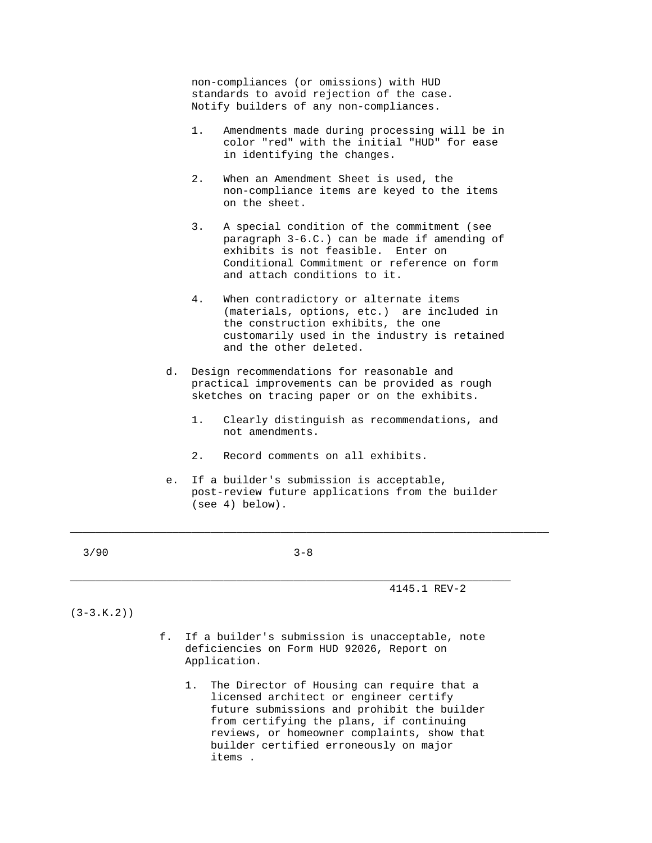non-compliances (or omissions) with HUD standards to avoid rejection of the case. Notify builders of any non-compliances.

- 1. Amendments made during processing will be in color "red" with the initial "HUD" for ease in identifying the changes.
- 2. When an Amendment Sheet is used, the non-compliance items are keyed to the items on the sheet.
- 3. A special condition of the commitment (see paragraph 3-6.C.) can be made if amending of exhibits is not feasible. Enter on Conditional Commitment or reference on form and attach conditions to it.
- 4. When contradictory or alternate items (materials, options, etc.) are included in the construction exhibits, the one customarily used in the industry is retained and the other deleted.
- d. Design recommendations for reasonable and practical improvements can be provided as rough sketches on tracing paper or on the exhibits.
	- 1. Clearly distinguish as recommendations, and not amendments.
	- 2. Record comments on all exhibits.
- e. If a builder's submission is acceptable, post-review future applications from the builder (see 4) below).

| 3/90<br>$3 - 8$ |  |  |
|-----------------|--|--|
|-----------------|--|--|

\_\_\_\_\_\_\_\_\_\_\_\_\_\_\_\_\_\_\_\_\_\_\_\_\_\_\_\_\_\_\_\_\_\_\_\_\_\_\_\_\_\_\_\_\_\_\_\_\_\_\_\_\_\_\_\_\_\_\_\_\_\_\_\_\_\_\_\_\_

\_\_\_\_\_\_\_\_\_\_\_\_\_\_\_\_\_\_\_\_\_\_\_\_\_\_\_\_\_\_\_\_\_\_\_\_\_\_\_\_\_\_\_\_\_\_\_\_\_\_\_\_\_\_\_\_\_\_\_\_\_\_\_\_\_\_\_\_\_\_\_\_\_\_\_

4145.1 REV-2

## $(3-3.K.2)$

- f. If a builder's submission is unacceptable, note deficiencies on Form HUD 92026, Report on Application.
	- 1. The Director of Housing can require that a licensed architect or engineer certify future submissions and prohibit the builder from certifying the plans, if continuing reviews, or homeowner complaints, show that builder certified erroneously on major items .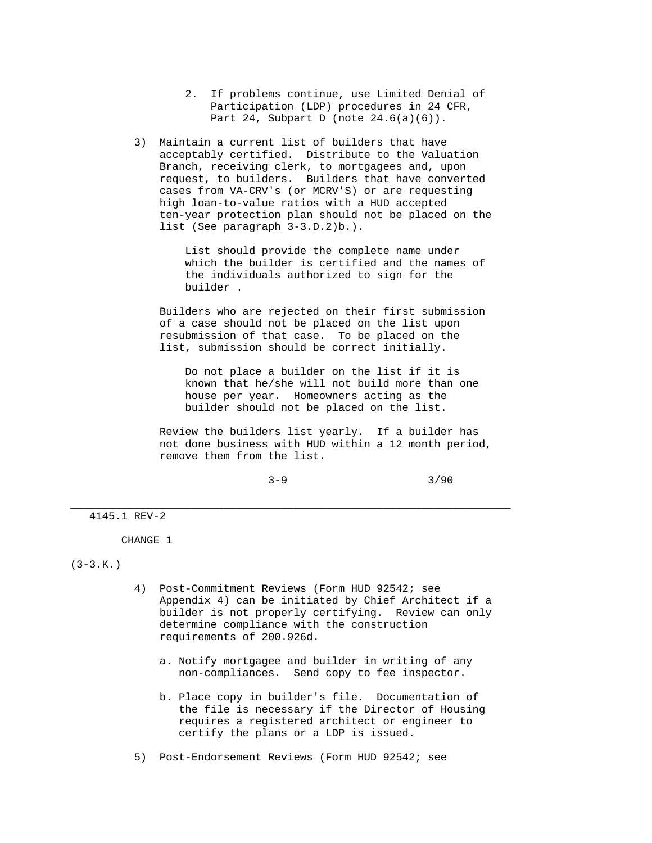- 2. If problems continue, use Limited Denial of Participation (LDP) procedures in 24 CFR, Part 24, Subpart D (note  $24.6(a)(6)$ ).
- 3) Maintain a current list of builders that have acceptably certified. Distribute to the Valuation Branch, receiving clerk, to mortgagees and, upon request, to builders. Builders that have converted cases from VA-CRV's (or MCRV'S) or are requesting high loan-to-value ratios with a HUD accepted ten-year protection plan should not be placed on the list (See paragraph 3-3.D.2)b.).

 List should provide the complete name under which the builder is certified and the names of the individuals authorized to sign for the builder .

 Builders who are rejected on their first submission of a case should not be placed on the list upon resubmission of that case. To be placed on the list, submission should be correct initially.

 Do not place a builder on the list if it is known that he/she will not build more than one house per year. Homeowners acting as the builder should not be placed on the list.

 Review the builders list yearly. If a builder has not done business with HUD within a 12 month period, remove them from the list.

 $3-9$   $3/90$ 

4145.1 REV-2

CHANGE 1

 $(3-3.K.)$ 

 4) Post-Commitment Reviews (Form HUD 92542; see Appendix 4) can be initiated by Chief Architect if a builder is not properly certifying. Review can only determine compliance with the construction requirements of 200.926d.

\_\_\_\_\_\_\_\_\_\_\_\_\_\_\_\_\_\_\_\_\_\_\_\_\_\_\_\_\_\_\_\_\_\_\_\_\_\_\_\_\_\_\_\_\_\_\_\_\_\_\_\_\_\_\_\_\_\_\_\_\_\_\_\_\_\_\_\_\_

- a. Notify mortgagee and builder in writing of any non-compliances. Send copy to fee inspector.
- b. Place copy in builder's file. Documentation of the file is necessary if the Director of Housing requires a registered architect or engineer to certify the plans or a LDP is issued.

5) Post-Endorsement Reviews (Form HUD 92542; see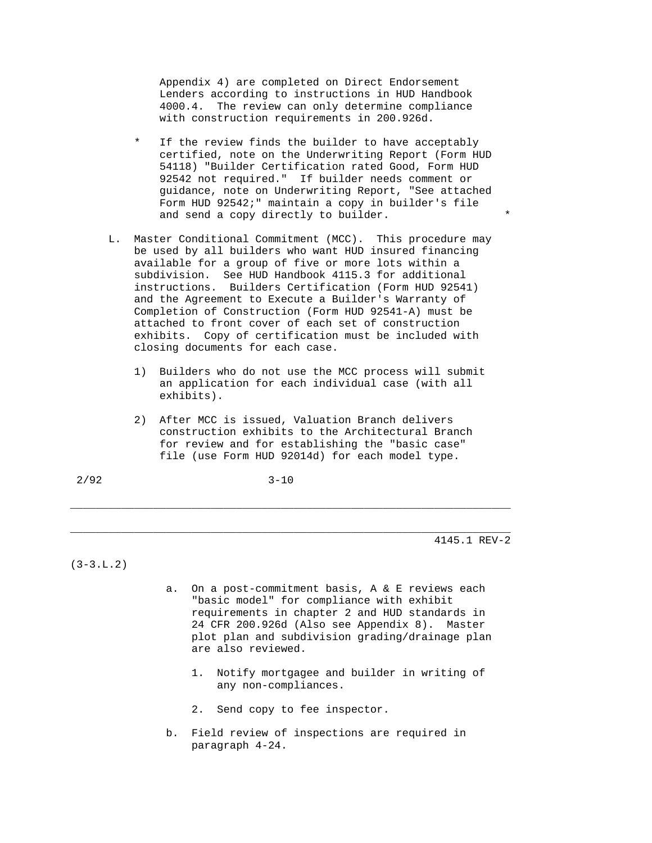Appendix 4) are completed on Direct Endorsement Lenders according to instructions in HUD Handbook 4000.4. The review can only determine compliance with construction requirements in 200.926d.

- If the review finds the builder to have acceptably certified, note on the Underwriting Report (Form HUD 54118) "Builder Certification rated Good, Form HUD 92542 not required." If builder needs comment or guidance, note on Underwriting Report, "See attached Form HUD 92542;" maintain a copy in builder's file and send a copy directly to builder.
- L. Master Conditional Commitment (MCC). This procedure may be used by all builders who want HUD insured financing available for a group of five or more lots within a subdivision. See HUD Handbook 4115.3 for additional instructions. Builders Certification (Form HUD 92541) and the Agreement to Execute a Builder's Warranty of Completion of Construction (Form HUD 92541-A) must be attached to front cover of each set of construction exhibits. Copy of certification must be included with closing documents for each case.
	- 1) Builders who do not use the MCC process will submit an application for each individual case (with all exhibits).
	- 2) After MCC is issued, Valuation Branch delivers construction exhibits to the Architectural Branch for review and for establishing the "basic case" file (use Form HUD 92014d) for each model type.

\_\_\_\_\_\_\_\_\_\_\_\_\_\_\_\_\_\_\_\_\_\_\_\_\_\_\_\_\_\_\_\_\_\_\_\_\_\_\_\_\_\_\_\_\_\_\_\_\_\_\_\_\_\_\_\_\_\_\_\_\_\_\_\_\_\_\_\_\_

\_\_\_\_\_\_\_\_\_\_\_\_\_\_\_\_\_\_\_\_\_\_\_\_\_\_\_\_\_\_\_\_\_\_\_\_\_\_\_\_\_\_\_\_\_\_\_\_\_\_\_\_\_\_\_\_\_\_\_\_\_\_\_\_\_\_\_\_\_

4145.1 REV-2

 $(3-3.L.2)$ 

- a. On a post-commitment basis, A & E reviews each "basic model" for compliance with exhibit requirements in chapter 2 and HUD standards in 24 CFR 200.926d (Also see Appendix 8). Master plot plan and subdivision grading/drainage plan are also reviewed.
	- 1. Notify mortgagee and builder in writing of any non-compliances.
	- 2. Send copy to fee inspector.
- b. Field review of inspections are required in paragraph 4-24.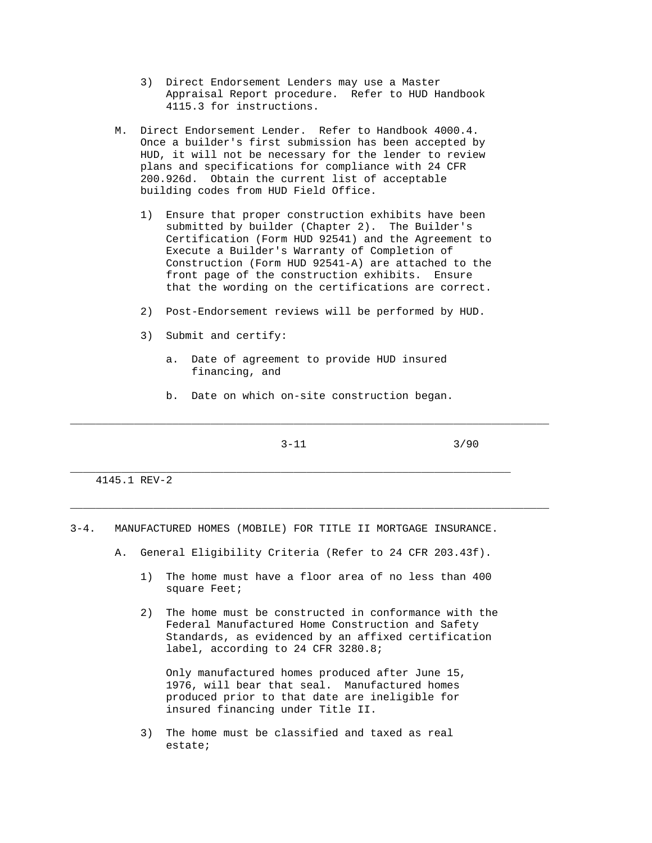- 3) Direct Endorsement Lenders may use a Master Appraisal Report procedure. Refer to HUD Handbook 4115.3 for instructions.
- M. Direct Endorsement Lender. Refer to Handbook 4000.4. Once a builder's first submission has been accepted by HUD, it will not be necessary for the lender to review plans and specifications for compliance with 24 CFR 200.926d. Obtain the current list of acceptable building codes from HUD Field Office.
	- 1) Ensure that proper construction exhibits have been submitted by builder (Chapter 2). The Builder's Certification (Form HUD 92541) and the Agreement to Execute a Builder's Warranty of Completion of Construction (Form HUD 92541-A) are attached to the front page of the construction exhibits. Ensure that the wording on the certifications are correct.
	- 2) Post-Endorsement reviews will be performed by HUD.
	- 3) Submit and certify:
		- a. Date of agreement to provide HUD insured financing, and
		- b. Date on which on-site construction began.

\_\_\_\_\_\_\_\_\_\_\_\_\_\_\_\_\_\_\_\_\_\_\_\_\_\_\_\_\_\_\_\_\_\_\_\_\_\_\_\_\_\_\_\_\_\_\_\_\_\_\_\_\_\_\_\_\_\_\_\_\_\_\_\_\_\_\_\_\_\_\_\_\_\_\_

\_\_\_\_\_\_\_\_\_\_\_\_\_\_\_\_\_\_\_\_\_\_\_\_\_\_\_\_\_\_\_\_\_\_\_\_\_\_\_\_\_\_\_\_\_\_\_\_\_\_\_\_\_\_\_\_\_\_\_\_\_\_\_\_\_\_\_\_\_\_\_\_\_\_\_

\_\_\_\_\_\_\_\_\_\_\_\_\_\_\_\_\_\_\_\_\_\_\_\_\_\_\_\_\_\_\_\_\_\_\_\_\_\_\_\_\_\_\_\_\_\_\_\_\_\_\_\_\_\_\_\_\_\_\_\_\_\_\_\_\_\_\_\_\_

 $3-11$   $3/90$ 

# 4145.1 REV-2

- 3-4. MANUFACTURED HOMES (MOBILE) FOR TITLE II MORTGAGE INSURANCE.
	- A. General Eligibility Criteria (Refer to 24 CFR 203.43f).
		- 1) The home must have a floor area of no less than 400 square Feet;
		- 2) The home must be constructed in conformance with the Federal Manufactured Home Construction and Safety Standards, as evidenced by an affixed certification label, according to 24 CFR 3280.8;

 Only manufactured homes produced after June 15, 1976, will bear that seal. Manufactured homes produced prior to that date are ineligible for insured financing under Title II.

 3) The home must be classified and taxed as real estate;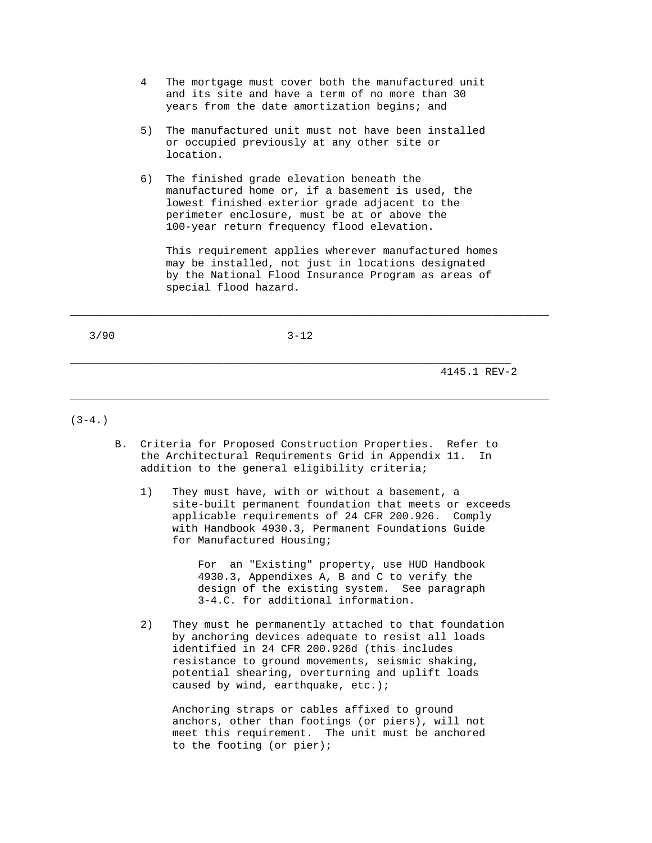- 4 The mortgage must cover both the manufactured unit and its site and have a term of no more than 30 years from the date amortization begins; and
- 5) The manufactured unit must not have been installed or occupied previously at any other site or location.
- 6) The finished grade elevation beneath the manufactured home or, if a basement is used, the lowest finished exterior grade adjacent to the perimeter enclosure, must be at or above the 100-year return frequency flood elevation.

 This requirement applies wherever manufactured homes may be installed, not just in locations designated by the National Flood Insurance Program as areas of special flood hazard.

3/90 3-12

\_\_\_\_\_\_\_\_\_\_\_\_\_\_\_\_\_\_\_\_\_\_\_\_\_\_\_\_\_\_\_\_\_\_\_\_\_\_\_\_\_\_\_\_\_\_\_\_\_\_\_\_\_\_\_\_\_\_\_\_\_\_\_\_\_\_\_\_\_

\_\_\_\_\_\_\_\_\_\_\_\_\_\_\_\_\_\_\_\_\_\_\_\_\_\_\_\_\_\_\_\_\_\_\_\_\_\_\_\_\_\_\_\_\_\_\_\_\_\_\_\_\_\_\_\_\_\_\_\_\_\_\_\_\_\_\_\_\_\_\_\_\_\_\_

4145.1 REV-2

## $(3-4.)$

 B. Criteria for Proposed Construction Properties. Refer to the Architectural Requirements Grid in Appendix 11. In addition to the general eligibility criteria;

\_\_\_\_\_\_\_\_\_\_\_\_\_\_\_\_\_\_\_\_\_\_\_\_\_\_\_\_\_\_\_\_\_\_\_\_\_\_\_\_\_\_\_\_\_\_\_\_\_\_\_\_\_\_\_\_\_\_\_\_\_\_\_\_\_\_\_\_\_\_\_\_\_\_\_

 1) They must have, with or without a basement, a site-built permanent foundation that meets or exceeds applicable requirements of 24 CFR 200.926. Comply with Handbook 4930.3, Permanent Foundations Guide for Manufactured Housing;

> For an "Existing" property, use HUD Handbook 4930.3, Appendixes A, B and C to verify the design of the existing system. See paragraph 3-4.C. for additional information.

 2) They must he permanently attached to that foundation by anchoring devices adequate to resist all loads identified in 24 CFR 200.926d (this includes resistance to ground movements, seismic shaking, potential shearing, overturning and uplift loads caused by wind, earthquake, etc.);

 Anchoring straps or cables affixed to ground anchors, other than footings (or piers), will not meet this requirement. The unit must be anchored to the footing (or pier);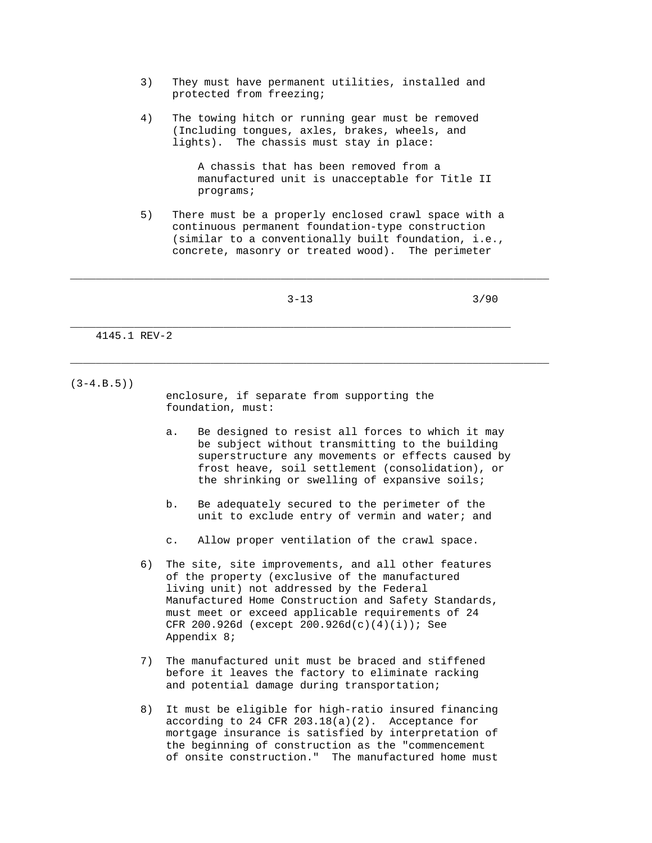- 3) They must have permanent utilities, installed and protected from freezing;
- 4) The towing hitch or running gear must be removed (Including tongues, axles, brakes, wheels, and lights). The chassis must stay in place:

 A chassis that has been removed from a manufactured unit is unacceptable for Title II programs;

 5) There must be a properly enclosed crawl space with a continuous permanent foundation-type construction (similar to a conventionally built foundation, i.e., concrete, masonry or treated wood). The perimeter

\_\_\_\_\_\_\_\_\_\_\_\_\_\_\_\_\_\_\_\_\_\_\_\_\_\_\_\_\_\_\_\_\_\_\_\_\_\_\_\_\_\_\_\_\_\_\_\_\_\_\_\_\_\_\_\_\_\_\_\_\_\_\_\_\_\_\_\_\_\_\_\_\_\_\_

\_\_\_\_\_\_\_\_\_\_\_\_\_\_\_\_\_\_\_\_\_\_\_\_\_\_\_\_\_\_\_\_\_\_\_\_\_\_\_\_\_\_\_\_\_\_\_\_\_\_\_\_\_\_\_\_\_\_\_\_\_\_\_\_\_\_\_\_\_\_\_\_\_\_\_

 $3-13$   $3/90$ \_\_\_\_\_\_\_\_\_\_\_\_\_\_\_\_\_\_\_\_\_\_\_\_\_\_\_\_\_\_\_\_\_\_\_\_\_\_\_\_\_\_\_\_\_\_\_\_\_\_\_\_\_\_\_\_\_\_\_\_\_\_\_\_\_\_\_\_\_ 4145.1 REV-2

 $(3-4.B.5)$ 

 enclosure, if separate from supporting the foundation, must:

- a. Be designed to resist all forces to which it may be subject without transmitting to the building superstructure any movements or effects caused by frost heave, soil settlement (consolidation), or the shrinking or swelling of expansive soils;
- b. Be adequately secured to the perimeter of the unit to exclude entry of vermin and water; and
- c. Allow proper ventilation of the crawl space.
- 6) The site, site improvements, and all other features of the property (exclusive of the manufactured living unit) not addressed by the Federal Manufactured Home Construction and Safety Standards, must meet or exceed applicable requirements of 24 CFR 200.926d (except 200.926d(c)(4)(i)); See Appendix 8;
- 7) The manufactured unit must be braced and stiffened before it leaves the factory to eliminate racking and potential damage during transportation;
- 8) It must be eligible for high-ratio insured financing according to 24 CFR  $203.18(a)(2)$ . Acceptance for mortgage insurance is satisfied by interpretation of the beginning of construction as the "commencement of onsite construction." The manufactured home must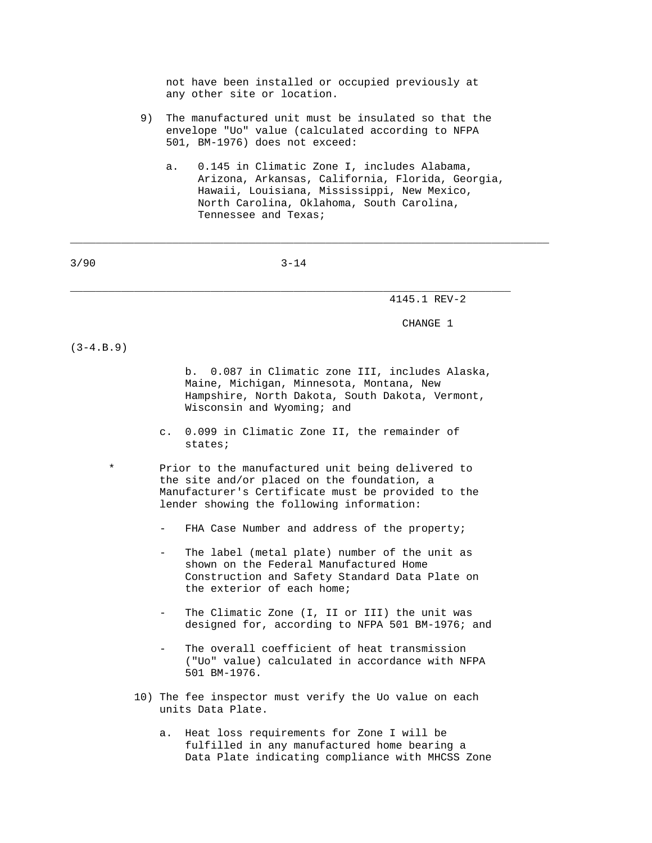not have been installed or occupied previously at any other site or location.

- 9) The manufactured unit must be insulated so that the envelope "Uo" value (calculated according to NFPA 501, BM-1976) does not exceed:
	- a. 0.145 in Climatic Zone I, includes Alabama, Arizona, Arkansas, California, Florida, Georgia, Hawaii, Louisiana, Mississippi, New Mexico, North Carolina, Oklahoma, South Carolina, Tennessee and Texas;

3/90 3-14

\_\_\_\_\_\_\_\_\_\_\_\_\_\_\_\_\_\_\_\_\_\_\_\_\_\_\_\_\_\_\_\_\_\_\_\_\_\_\_\_\_\_\_\_\_\_\_\_\_\_\_\_\_\_\_\_\_\_\_\_\_\_\_\_\_\_\_\_\_

\_\_\_\_\_\_\_\_\_\_\_\_\_\_\_\_\_\_\_\_\_\_\_\_\_\_\_\_\_\_\_\_\_\_\_\_\_\_\_\_\_\_\_\_\_\_\_\_\_\_\_\_\_\_\_\_\_\_\_\_\_\_\_\_\_\_\_\_\_\_\_\_\_\_\_

4145.1 REV-2

CHANGE 1

 $(3-4.B.9)$ 

 b. 0.087 in Climatic zone III, includes Alaska, Maine, Michigan, Minnesota, Montana, New Hampshire, North Dakota, South Dakota, Vermont, Wisconsin and Wyoming; and

 c. 0.099 in Climatic Zone II, the remainder of states;

Prior to the manufactured unit being delivered to the site and/or placed on the foundation, a Manufacturer's Certificate must be provided to the lender showing the following information:

- FHA Case Number and address of the property;
- The label (metal plate) number of the unit as shown on the Federal Manufactured Home Construction and Safety Standard Data Plate on the exterior of each home;
- The Climatic Zone (I, II or III) the unit was designed for, according to NFPA 501 BM-1976; and
- The overall coefficient of heat transmission ("Uo" value) calculated in accordance with NFPA 501 BM-1976.
- 10) The fee inspector must verify the Uo value on each units Data Plate.
	- a. Heat loss requirements for Zone I will be fulfilled in any manufactured home bearing a Data Plate indicating compliance with MHCSS Zone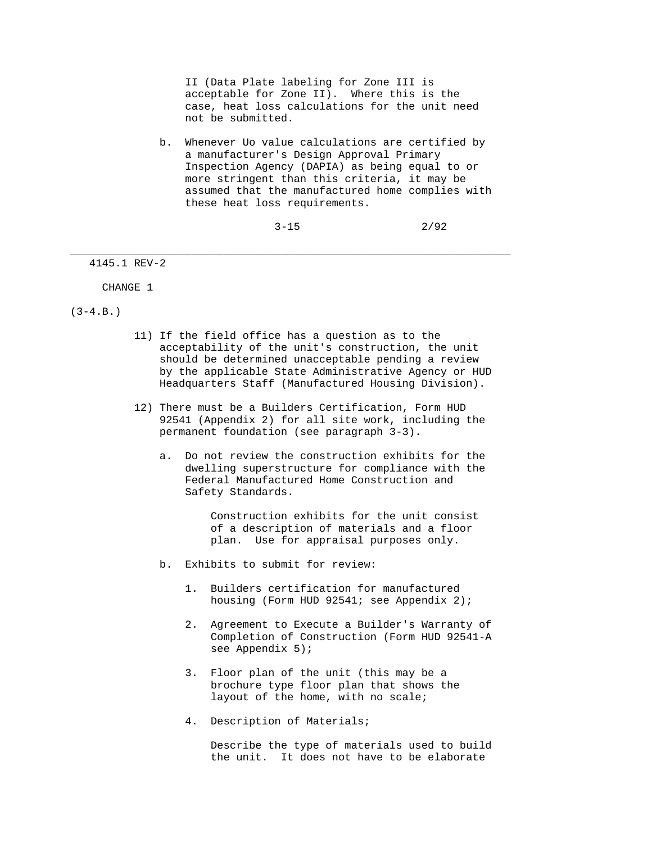II (Data Plate labeling for Zone III is acceptable for Zone II). Where this is the case, heat loss calculations for the unit need not be submitted.

 b. Whenever Uo value calculations are certified by a manufacturer's Design Approval Primary Inspection Agency (DAPIA) as being equal to or more stringent than this criteria, it may be assumed that the manufactured home complies with these heat loss requirements.

 $3-15$  2/92

4145.1 REV-2

CHANGE 1

 $(3-4.B.)$ 

 11) If the field office has a question as to the acceptability of the unit's construction, the unit should be determined unacceptable pending a review by the applicable State Administrative Agency or HUD Headquarters Staff (Manufactured Housing Division).

\_\_\_\_\_\_\_\_\_\_\_\_\_\_\_\_\_\_\_\_\_\_\_\_\_\_\_\_\_\_\_\_\_\_\_\_\_\_\_\_\_\_\_\_\_\_\_\_\_\_\_\_\_\_\_\_\_\_\_\_\_\_\_\_\_\_\_\_\_

- 12) There must be a Builders Certification, Form HUD 92541 (Appendix 2) for all site work, including the permanent foundation (see paragraph 3-3).
	- a. Do not review the construction exhibits for the dwelling superstructure for compliance with the Federal Manufactured Home Construction and Safety Standards.

 Construction exhibits for the unit consist of a description of materials and a floor plan. Use for appraisal purposes only.

- b. Exhibits to submit for review:
	- 1. Builders certification for manufactured housing (Form HUD 92541; see Appendix 2);
	- 2. Agreement to Execute a Builder's Warranty of Completion of Construction (Form HUD 92541-A see Appendix 5);
	- 3. Floor plan of the unit (this may be a brochure type floor plan that shows the layout of the home, with no scale;
	- 4. Description of Materials;

 Describe the type of materials used to build the unit. It does not have to be elaborate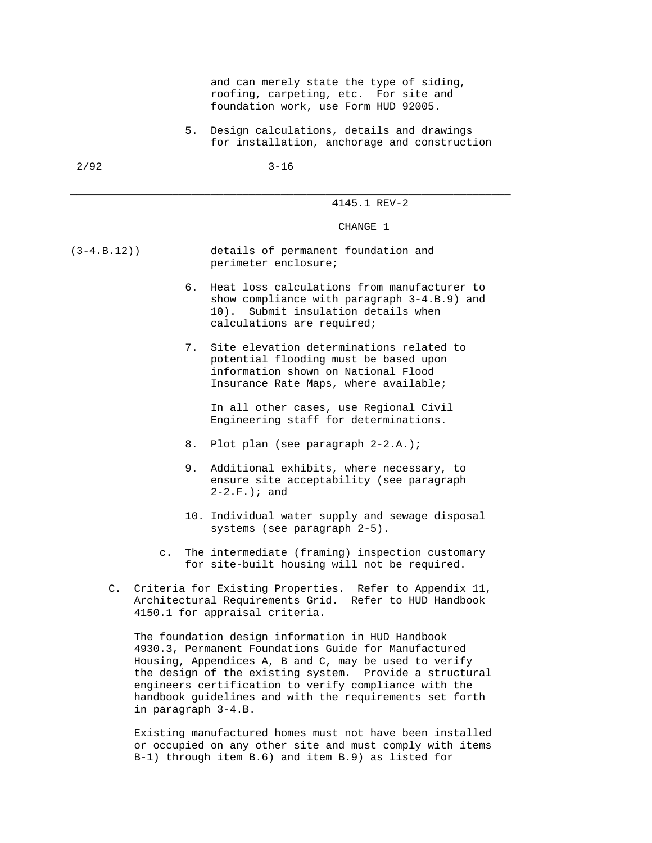and can merely state the type of siding, roofing, carpeting, etc. For site and foundation work, use Form HUD 92005.

 5. Design calculations, details and drawings for installation, anchorage and construction

\_\_\_\_\_\_\_\_\_\_\_\_\_\_\_\_\_\_\_\_\_\_\_\_\_\_\_\_\_\_\_\_\_\_\_\_\_\_\_\_\_\_\_\_\_\_\_\_\_\_\_\_\_\_\_\_\_\_\_\_\_\_\_\_\_\_\_\_\_

4145.1 REV-2

CHANGE 1

- (3-4.B.12)) details of permanent foundation and perimeter enclosure;
	- 6. Heat loss calculations from manufacturer to show compliance with paragraph 3-4.B.9) and 10). Submit insulation details when calculations are required;
	- 7. Site elevation determinations related to potential flooding must be based upon information shown on National Flood Insurance Rate Maps, where available;

 In all other cases, use Regional Civil Engineering staff for determinations.

- 8. Plot plan (see paragraph 2-2.A.);
- 9. Additional exhibits, where necessary, to ensure site acceptability (see paragraph 2-2.F.); and
- 10. Individual water supply and sewage disposal systems (see paragraph 2-5).
- c. The intermediate (framing) inspection customary for site-built housing will not be required.
- C. Criteria for Existing Properties. Refer to Appendix 11, Architectural Requirements Grid. Refer to HUD Handbook 4150.1 for appraisal criteria.

 The foundation design information in HUD Handbook 4930.3, Permanent Foundations Guide for Manufactured Housing, Appendices A, B and C, may be used to verify the design of the existing system. Provide a structural engineers certification to verify compliance with the handbook guidelines and with the requirements set forth in paragraph 3-4.B.

 Existing manufactured homes must not have been installed or occupied on any other site and must comply with items B-1) through item B.6) and item B.9) as listed for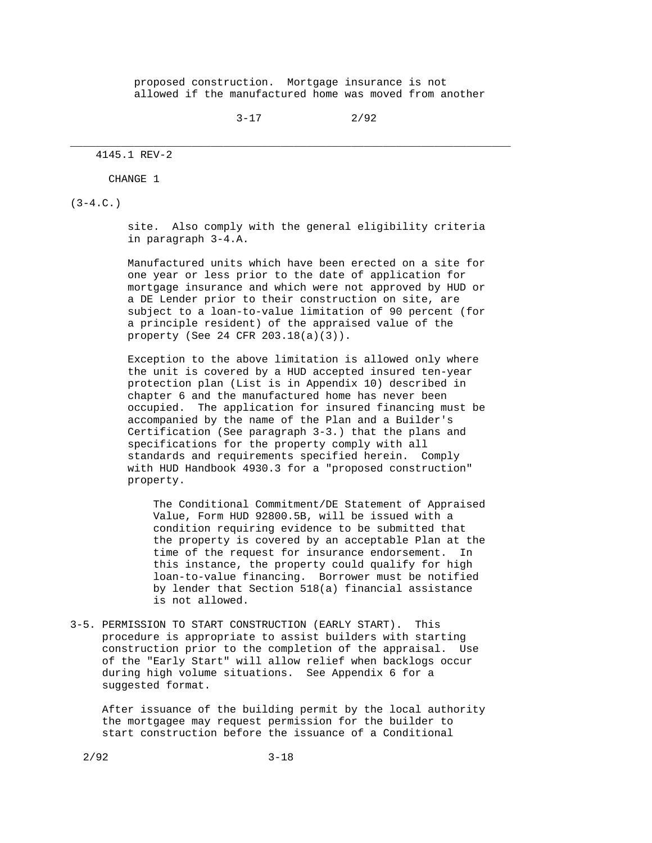proposed construction. Mortgage insurance is not allowed if the manufactured home was moved from another

 $3-17$  2/92

\_\_\_\_\_\_\_\_\_\_\_\_\_\_\_\_\_\_\_\_\_\_\_\_\_\_\_\_\_\_\_\_\_\_\_\_\_\_\_\_\_\_\_\_\_\_\_\_\_\_\_\_\_\_\_\_\_\_\_\_\_\_\_\_\_\_\_\_\_

#### 4145.1 REV-2

CHANGE 1

 $(3-4.C.)$ 

 site. Also comply with the general eligibility criteria in paragraph 3-4.A.

 Manufactured units which have been erected on a site for one year or less prior to the date of application for mortgage insurance and which were not approved by HUD or a DE Lender prior to their construction on site, are subject to a loan-to-value limitation of 90 percent (for a principle resident) of the appraised value of the property (See 24 CFR 203.18(a)(3)).

 Exception to the above limitation is allowed only where the unit is covered by a HUD accepted insured ten-year protection plan (List is in Appendix 10) described in chapter 6 and the manufactured home has never been occupied. The application for insured financing must be accompanied by the name of the Plan and a Builder's Certification (See paragraph 3-3.) that the plans and specifications for the property comply with all standards and requirements specified herein. Comply with HUD Handbook 4930.3 for a "proposed construction" property.

 The Conditional Commitment/DE Statement of Appraised Value, Form HUD 92800.5B, will be issued with a condition requiring evidence to be submitted that the property is covered by an acceptable Plan at the time of the request for insurance endorsement. In this instance, the property could qualify for high loan-to-value financing. Borrower must be notified by lender that Section 518(a) financial assistance is not allowed.

3-5. PERMISSION TO START CONSTRUCTION (EARLY START). This procedure is appropriate to assist builders with starting construction prior to the completion of the appraisal. Use of the "Early Start" will allow relief when backlogs occur during high volume situations. See Appendix 6 for a suggested format.

 After issuance of the building permit by the local authority the mortgagee may request permission for the builder to start construction before the issuance of a Conditional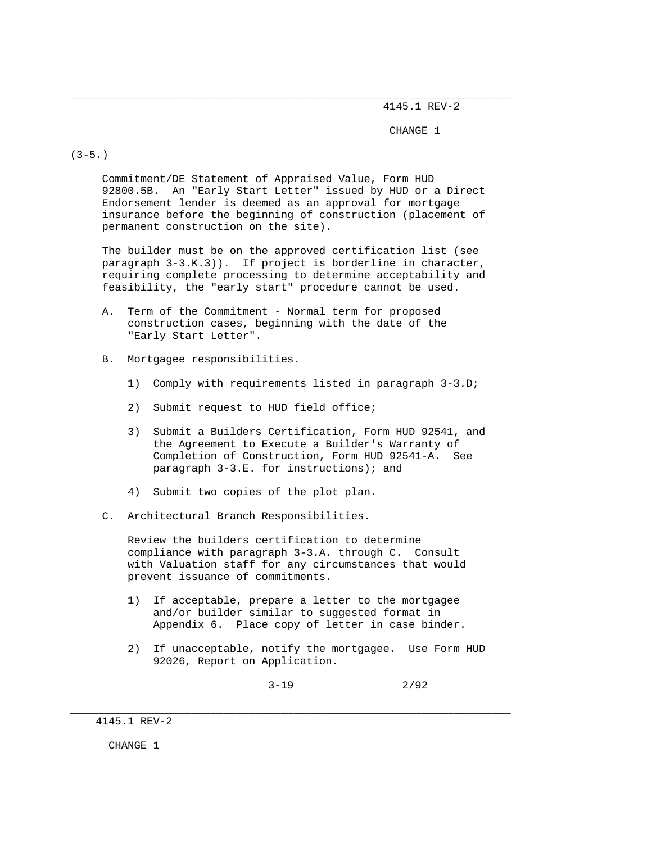4145.1 REV-2

CHANGE 1

 $(3-5.)$ 

 Commitment/DE Statement of Appraised Value, Form HUD 92800.5B. An "Early Start Letter" issued by HUD or a Direct Endorsement lender is deemed as an approval for mortgage insurance before the beginning of construction (placement of permanent construction on the site).

\_\_\_\_\_\_\_\_\_\_\_\_\_\_\_\_\_\_\_\_\_\_\_\_\_\_\_\_\_\_\_\_\_\_\_\_\_\_\_\_\_\_\_\_\_\_\_\_\_\_\_\_\_\_\_\_\_\_\_\_\_\_\_\_\_\_\_\_\_

 The builder must be on the approved certification list (see paragraph 3-3.K.3)). If project is borderline in character, requiring complete processing to determine acceptability and feasibility, the "early start" procedure cannot be used.

- A. Term of the Commitment Normal term for proposed construction cases, beginning with the date of the "Early Start Letter".
- B. Mortgagee responsibilities.
	- 1) Comply with requirements listed in paragraph 3-3.D;
	- 2) Submit request to HUD field office;
	- 3) Submit a Builders Certification, Form HUD 92541, and the Agreement to Execute a Builder's Warranty of Completion of Construction, Form HUD 92541-A. See paragraph 3-3.E. for instructions); and
	- 4) Submit two copies of the plot plan.
- C. Architectural Branch Responsibilities.

 Review the builders certification to determine compliance with paragraph 3-3.A. through C. Consult with Valuation staff for any circumstances that would prevent issuance of commitments.

 1) If acceptable, prepare a letter to the mortgagee and/or builder similar to suggested format in Appendix 6. Place copy of letter in case binder.

\_\_\_\_\_\_\_\_\_\_\_\_\_\_\_\_\_\_\_\_\_\_\_\_\_\_\_\_\_\_\_\_\_\_\_\_\_\_\_\_\_\_\_\_\_\_\_\_\_\_\_\_\_\_\_\_\_\_\_\_\_\_\_\_\_\_\_\_\_

 2) If unacceptable, notify the mortgagee. Use Form HUD 92026, Report on Application.

 $3-19$  2/92

CHANGE 1

 <sup>4145.1</sup> REV-2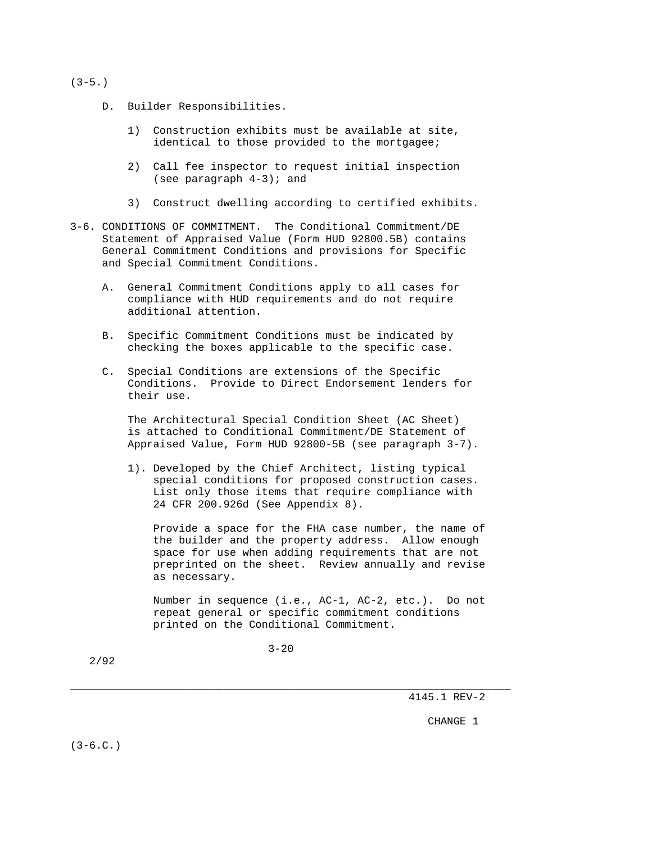# $(3-5.)$

- D. Builder Responsibilities.
	- 1) Construction exhibits must be available at site, identical to those provided to the mortgagee;
	- 2) Call fee inspector to request initial inspection (see paragraph 4-3); and
	- 3) Construct dwelling according to certified exhibits.
- 3-6. CONDITIONS OF COMMITMENT. The Conditional Commitment/DE Statement of Appraised Value (Form HUD 92800.5B) contains General Commitment Conditions and provisions for Specific and Special Commitment Conditions.
	- A. General Commitment Conditions apply to all cases for compliance with HUD requirements and do not require additional attention.
	- B. Specific Commitment Conditions must be indicated by checking the boxes applicable to the specific case.
	- C. Special Conditions are extensions of the Specific Conditions. Provide to Direct Endorsement lenders for their use.

 The Architectural Special Condition Sheet (AC Sheet) is attached to Conditional Commitment/DE Statement of Appraised Value, Form HUD 92800-5B (see paragraph 3-7).

 1). Developed by the Chief Architect, listing typical special conditions for proposed construction cases. List only those items that require compliance with 24 CFR 200.926d (See Appendix 8).

 Provide a space for the FHA case number, the name of the builder and the property address. Allow enough space for use when adding requirements that are not preprinted on the sheet. Review annually and revise as necessary.

 Number in sequence (i.e., AC-1, AC-2, etc.). Do not repeat general or specific commitment conditions printed on the Conditional Commitment.

 $3 - 20$ 

\_\_\_\_\_\_\_\_\_\_\_\_\_\_\_\_\_\_\_\_\_\_\_\_\_\_\_\_\_\_\_\_\_\_\_\_\_\_\_\_\_\_\_\_\_\_\_\_\_\_\_\_\_\_\_\_\_\_\_\_\_\_\_\_\_\_\_\_\_

2/92

4145.1 REV-2

CHANGE 1

 $(3-6.C.)$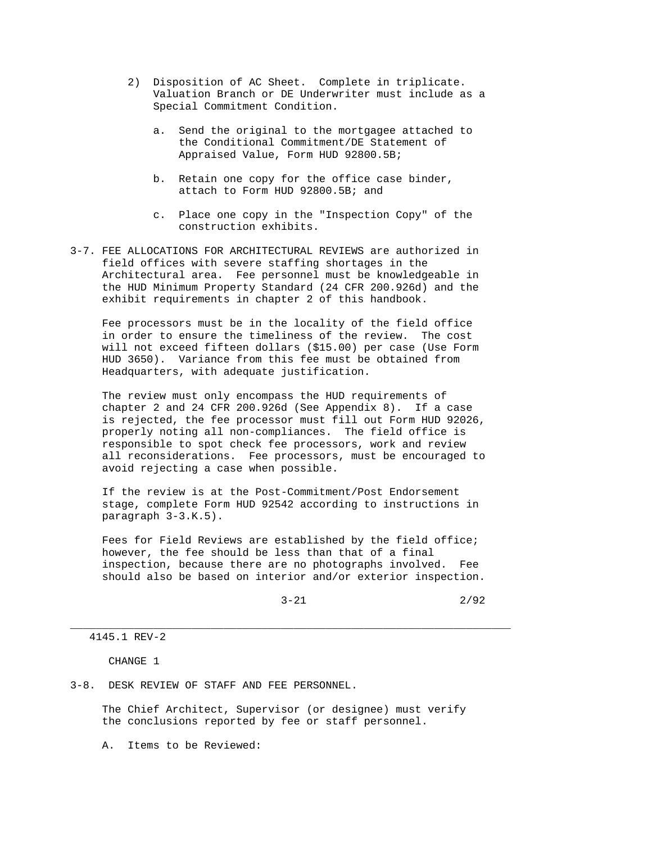- 2) Disposition of AC Sheet. Complete in triplicate. Valuation Branch or DE Underwriter must include as a Special Commitment Condition.
	- a. Send the original to the mortgagee attached to the Conditional Commitment/DE Statement of Appraised Value, Form HUD 92800.5B;
	- b. Retain one copy for the office case binder, attach to Form HUD 92800.5B; and
	- c. Place one copy in the "Inspection Copy" of the construction exhibits.
- 3-7. FEE ALLOCATIONS FOR ARCHITECTURAL REVIEWS are authorized in field offices with severe staffing shortages in the Architectural area. Fee personnel must be knowledgeable in the HUD Minimum Property Standard (24 CFR 200.926d) and the exhibit requirements in chapter 2 of this handbook.

 Fee processors must be in the locality of the field office in order to ensure the timeliness of the review. The cost will not exceed fifteen dollars (\$15.00) per case (Use Form HUD 3650). Variance from this fee must be obtained from Headquarters, with adequate justification.

 The review must only encompass the HUD requirements of chapter 2 and 24 CFR 200.926d (See Appendix 8). If a case is rejected, the fee processor must fill out Form HUD 92026, properly noting all non-compliances. The field office is responsible to spot check fee processors, work and review all reconsiderations. Fee processors, must be encouraged to avoid rejecting a case when possible.

 If the review is at the Post-Commitment/Post Endorsement stage, complete Form HUD 92542 according to instructions in paragraph 3-3.K.5).

 Fees for Field Reviews are established by the field office; however, the fee should be less than that of a final inspection, because there are no photographs involved. Fee should also be based on interior and/or exterior inspection.

\_\_\_\_\_\_\_\_\_\_\_\_\_\_\_\_\_\_\_\_\_\_\_\_\_\_\_\_\_\_\_\_\_\_\_\_\_\_\_\_\_\_\_\_\_\_\_\_\_\_\_\_\_\_\_\_\_\_\_\_\_\_\_\_\_\_\_\_\_

4145.1 REV-2

CHANGE 1

3-8. DESK REVIEW OF STAFF AND FEE PERSONNEL.

 The Chief Architect, Supervisor (or designee) must verify the conclusions reported by fee or staff personnel.

A. Items to be Reviewed: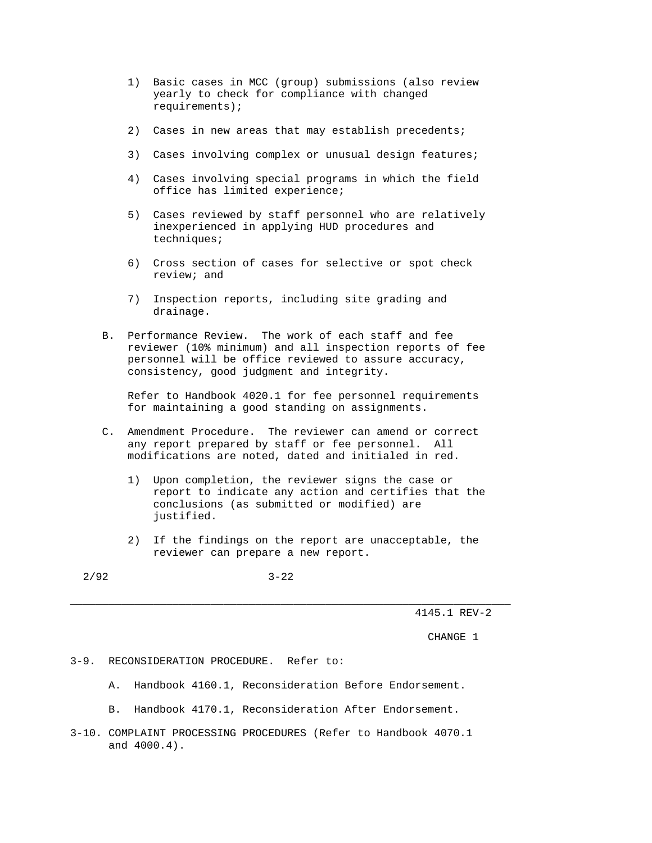- 1) Basic cases in MCC (group) submissions (also review yearly to check for compliance with changed requirements);
- 2) Cases in new areas that may establish precedents;
- 3) Cases involving complex or unusual design features;
- 4) Cases involving special programs in which the field office has limited experience;
- 5) Cases reviewed by staff personnel who are relatively inexperienced in applying HUD procedures and techniques;
- 6) Cross section of cases for selective or spot check review; and
- 7) Inspection reports, including site grading and drainage.
- B. Performance Review. The work of each staff and fee reviewer (10% minimum) and all inspection reports of fee personnel will be office reviewed to assure accuracy, consistency, good judgment and integrity.

 Refer to Handbook 4020.1 for fee personnel requirements for maintaining a good standing on assignments.

- C. Amendment Procedure. The reviewer can amend or correct any report prepared by staff or fee personnel. All modifications are noted, dated and initialed in red.
	- 1) Upon completion, the reviewer signs the case or report to indicate any action and certifies that the conclusions (as submitted or modified) are justified.
	- 2) If the findings on the report are unacceptable, the reviewer can prepare a new report.

2/92 3-22

\_\_\_\_\_\_\_\_\_\_\_\_\_\_\_\_\_\_\_\_\_\_\_\_\_\_\_\_\_\_\_\_\_\_\_\_\_\_\_\_\_\_\_\_\_\_\_\_\_\_\_\_\_\_\_\_\_\_\_\_\_\_\_\_\_\_\_\_\_

4145.1 REV-2

CHANGE 1

## 3-9. RECONSIDERATION PROCEDURE. Refer to:

- A. Handbook 4160.1, Reconsideration Before Endorsement.
- B. Handbook 4170.1, Reconsideration After Endorsement.
- 3-10. COMPLAINT PROCESSING PROCEDURES (Refer to Handbook 4070.1 and 4000.4).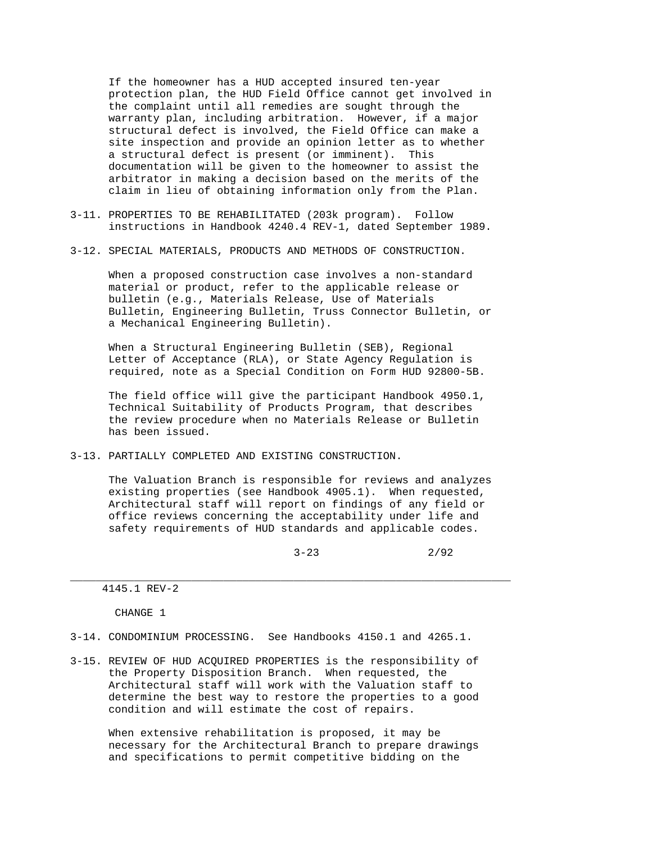If the homeowner has a HUD accepted insured ten-year protection plan, the HUD Field Office cannot get involved in the complaint until all remedies are sought through the warranty plan, including arbitration. However, if a major structural defect is involved, the Field Office can make a site inspection and provide an opinion letter as to whether a structural defect is present (or imminent). This documentation will be given to the homeowner to assist the arbitrator in making a decision based on the merits of the claim in lieu of obtaining information only from the Plan.

- 3-11. PROPERTIES TO BE REHABILITATED (203k program). Follow instructions in Handbook 4240.4 REV-1, dated September 1989.
- 3-12. SPECIAL MATERIALS, PRODUCTS AND METHODS OF CONSTRUCTION.

 When a proposed construction case involves a non-standard material or product, refer to the applicable release or bulletin (e.g., Materials Release, Use of Materials Bulletin, Engineering Bulletin, Truss Connector Bulletin, or a Mechanical Engineering Bulletin).

 When a Structural Engineering Bulletin (SEB), Regional Letter of Acceptance (RLA), or State Agency Regulation is required, note as a Special Condition on Form HUD 92800-5B.

 The field office will give the participant Handbook 4950.1, Technical Suitability of Products Program, that describes the review procedure when no Materials Release or Bulletin has been issued.

3-13. PARTIALLY COMPLETED AND EXISTING CONSTRUCTION.

 The Valuation Branch is responsible for reviews and analyzes existing properties (see Handbook 4905.1). When requested, Architectural staff will report on findings of any field or office reviews concerning the acceptability under life and safety requirements of HUD standards and applicable codes.

\_\_\_\_\_\_\_\_\_\_\_\_\_\_\_\_\_\_\_\_\_\_\_\_\_\_\_\_\_\_\_\_\_\_\_\_\_\_\_\_\_\_\_\_\_\_\_\_\_\_\_\_\_\_\_\_\_\_\_\_\_\_\_\_\_\_\_\_\_

 $3-23$  2/92

4145.1 REV-2

CHANGE 1

- 3-14. CONDOMINIUM PROCESSING. See Handbooks 4150.1 and 4265.1.
- 3-15. REVIEW OF HUD ACQUIRED PROPERTIES is the responsibility of the Property Disposition Branch. When requested, the Architectural staff will work with the Valuation staff to determine the best way to restore the properties to a good condition and will estimate the cost of repairs.

 When extensive rehabilitation is proposed, it may be necessary for the Architectural Branch to prepare drawings and specifications to permit competitive bidding on the